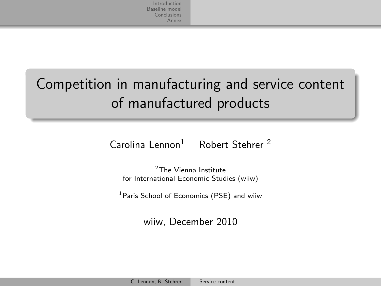## Competition in manufacturing and service content of manufactured products

 $Carolina Lennon<sup>1</sup>$  Robert Stehrer<sup>2</sup>

<sup>2</sup>The Vienna Institute for International Economic Studies (wiiw)

<sup>1</sup>Paris School of Economics (PSE) and wiiw

<span id="page-0-0"></span>wiiw, December 2010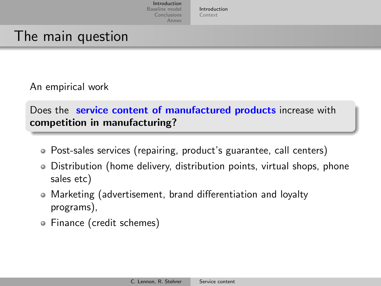[Introduction](#page-1-0) [Context](#page-5-0)

### The main question

An empirical work

Does the **service content of manufactured products** increase with competition in manufacturing?

- Post-sales services (repairing, product's guarantee, call centers)
- Distribution (home delivery, distribution points, virtual shops, phone sales etc)
- Marketing (advertisement, brand differentiation and loyalty programs),
- <span id="page-1-0"></span>Finance (credit schemes)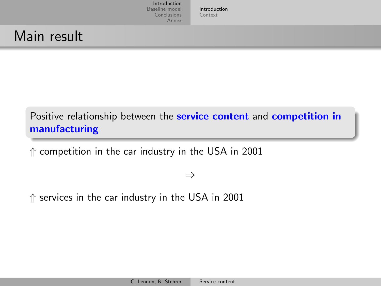[Introduction](#page-1-0) [Context](#page-5-0)

## Main result

### Positive relationship between the service content and competition in manufacturing

⇑ competition in the car industry in the USA in 2001

⇒

⇑ services in the car industry in the USA in 2001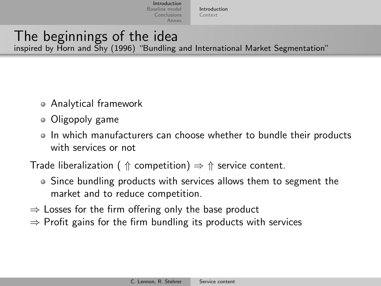[Introduction](#page-1-0) [Context](#page-5-0)

### The beginnings of the idea inspired by Horn and Shy (1996) "Bundling and International Market Segmentation"

- Analytical framework
- Oligopoly game
- In which manufacturers can choose whether to bundle their products with services or not
- Trade liberalization (  $\Uparrow$  competition)  $\Rightarrow \Uparrow$  service content.
	- Since bundling products with services allows them to segment the market and to reduce competition.
- $\Rightarrow$  Losses for the firm offering only the base product
- $\Rightarrow$  Profit gains for the firm bundling its products with services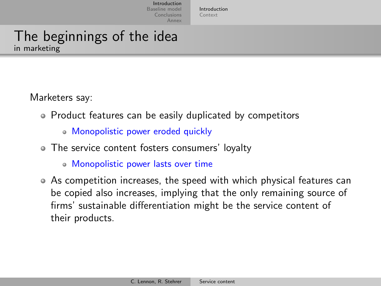[Introduction](#page-1-0) [Context](#page-5-0)

### The beginnings of the idea in marketing

Marketers say:

- Product features can be easily duplicated by competitors
	- Monopolistic power eroded quickly
- The service content fosters consumers' loyalty
	- Monopolistic power lasts over time
- As competition increases, the speed with which physical features can be copied also increases, implying that the only remaining source of firms' sustainable differentiation might be the service content of their products.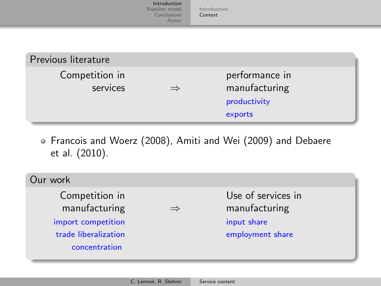|                            | Introduction<br>Baseline model<br>Conclusions<br>Annex | Introduction<br>Context                                    |  |
|----------------------------|--------------------------------------------------------|------------------------------------------------------------|--|
| Previous literature        |                                                        |                                                            |  |
| Competition in<br>services |                                                        | performance in<br>manufacturing<br>productivity<br>exports |  |

Francois and Woerz (2008), Amiti and Wei (2009) and Debaere et al. (2010).

<span id="page-5-0"></span>

| Our work                                                                                                        |                                                                        |
|-----------------------------------------------------------------------------------------------------------------|------------------------------------------------------------------------|
| Competition in<br>manufacturing<br>$\Rightarrow$<br>import competition<br>trade liberalization<br>concentration | Use of services in<br>manufacturing<br>input share<br>employment share |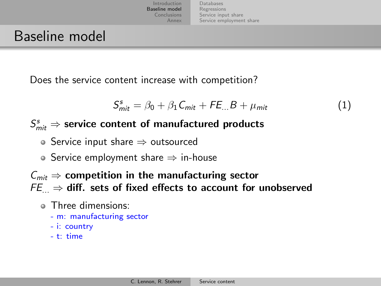[Databases](#page-7-0) [Regressions](#page-13-0) [Service input share](#page-14-0) [Service employment share](#page-20-0)

### Baseline model

Does the service content increase with competition?

<span id="page-6-0"></span>
$$
S_{mit}^s = \beta_0 + \beta_1 C_{mit} + FE_{...}B + \mu_{mit}
$$
 (1)

### $\mathcal{S}_{\mathit{mit}}^s \Rightarrow$  service content of manufactured products

- Service input share ⇒ outsourced
- Service employment share  $\Rightarrow$  in-house
- $C_{mit} \Rightarrow$  competition in the manufacturing sector  $FE_{\dots} \Rightarrow$  diff. sets of fixed effects to account for unobserved
	- Three dimensions:
		- m: manufacturing sector
		- i: country
		- $-$  t: time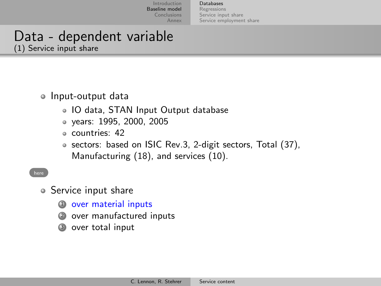<span id="page-7-0"></span>[Databases](#page-7-0) [Regressions](#page-13-0) [Service input share](#page-14-0) [Service employment share](#page-20-0)

### Data - dependent variable (1) Service input share

#### <span id="page-7-1"></span>• Input-output data

- IO data, STAN Input Output database
- years: 1995, 2000, 2005
- countries: 42
- sectors: based on ISIC Rev.3, 2-digit sectors, Total (37), Manufacturing (18), and services (10).

#### [here](#page-8-0)

- Service input share
	- <sup>1</sup> over material inputs
	- <sup>2</sup> over manufactured inputs
	- over total input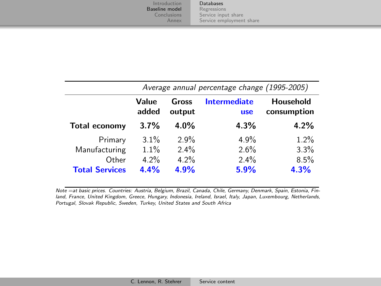[Databases](#page-7-0) [Regressions](#page-13-0) [Service input share](#page-14-0) [Service employment share](#page-20-0)

<span id="page-8-0"></span>

|                       |                | Average annual percentage change (1995-2005) |                            |                          |  |  |
|-----------------------|----------------|----------------------------------------------|----------------------------|--------------------------|--|--|
|                       | Value<br>added | Gross<br>output                              | Intermediate<br><b>use</b> | Household<br>consumption |  |  |
| <b>Total economy</b>  | 3.7%           | $4.0\%$                                      | 4.3%                       | 4.2%                     |  |  |
| Primary               | $3.1\%$        | 2.9%                                         | 4.9%                       | 1.2%                     |  |  |
| Manufacturing         | 1.1%           | $2.4\%$                                      | 2.6%                       | 3.3%                     |  |  |
| Other                 | 4.2%           | 4.2%                                         | 2.4%                       | 8.5%                     |  |  |
| <b>Total Services</b> | 4.4%           | 4.9%                                         | 5.9%                       | 4.3%                     |  |  |

Note =at basic prices. Countries: Austria, Belgium, Brazil, Canada, Chile, Germany, Denmark, Spain, Estonia, Finland, France, United Kingdom, Greece, Hungary, Indonesia, Ireland, Israel, Italy, Japan, Luxembourg, Netherlands, Portugal, Slovak Republic, Sweden, Turkey, United States and South Africa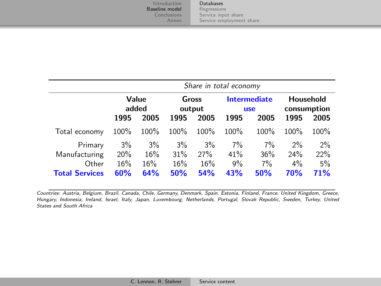[Databases](#page-7-0) [Regressions](#page-13-0) [Service input share](#page-14-0) [Service employment share](#page-20-0)

|                       |                | Share in total economy |                 |      |                                   |       |                          |      |
|-----------------------|----------------|------------------------|-----------------|------|-----------------------------------|-------|--------------------------|------|
|                       | Value<br>added |                        | Gross<br>output |      | <b>Intermediate</b><br><b>use</b> |       | Household<br>consumption |      |
|                       | 1995           | 2005                   | 1995            | 2005 | 1995                              | 2005  | 1995                     | 2005 |
| Total economy         | 100%           | 100%                   | 100%            | 100% | 100%                              | 100%  | 100%                     | 100% |
| Primary               | 3%             | $3\%$                  | 3%              | 3%   | 7%                                | 7%    | 2%                       | 2%   |
| Manufacturing         | 20%            | 16%                    | 31%             | 27%  | 41%                               | 36%   | 24%                      | 22%  |
| Other                 | 16%            | 16%                    | 16%             | 16%  | 9%                                | $7\%$ | $4\%$                    | 5%   |
| <b>Total Services</b> | 60%            | 64%                    | 50%             | 54%  | 43%                               | 50%   | 70%                      | 71%  |

Countries: Austria, Belgium, Brazil, Canada, Chile, Germany, Denmark, Spain, Estonia, Finland, France, United Kingdom, Greece, Hungary, Indonesia, Ireland, Israel, Italy, Japan, Luxembourg, Netherlands, Portugal, Slovak Republic, Sweden, Turkey, United States and South Africa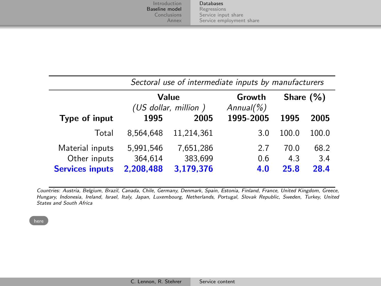[Databases](#page-7-0) [Regressions](#page-13-0) [Service input share](#page-14-0) [Service employment share](#page-20-0)

|                        | Sectoral use of intermediate inputs by manufacturers |                               |                          |       |              |  |
|------------------------|------------------------------------------------------|-------------------------------|--------------------------|-------|--------------|--|
|                        |                                                      | Value<br>(US dollar, million) | Growth<br>Annual( $\%$ ) |       | Share $(\%)$ |  |
| Type of input          | 1995                                                 | 2005                          | 1995-2005                | 1995  | 2005         |  |
| Total                  | 8.564.648                                            | 11.214.361                    | 3.0                      | 100.0 | 100.0        |  |
| Material inputs        | 5,991,546                                            | 7,651,286                     | 2.7                      | 70.0  | 68.2         |  |
| Other inputs           | 364,614                                              | 383,699                       | 0.6                      | 4.3   | 3.4          |  |
| <b>Services inputs</b> | 2,208,488                                            | 3,179,376                     | 4.0                      | 25.8  | 28.4         |  |

Countries: Austria, Belgium, Brazil, Canada, Chile, Germany, Denmark, Spain, Estonia, Finland, France, United Kingdom, Greece, Hungary, Indonesia, Ireland, Israel, Italy, Japan, Luxembourg, Netherlands, Portugal, Slovak Republic, Sweden, Turkey, United States and South Africa

[here](#page-7-1)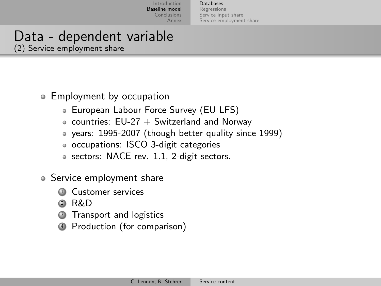[Databases](#page-7-0) [Regressions](#page-13-0) [Service input share](#page-14-0) [Service employment share](#page-20-0)

### Data - dependent variable (2) Service employment share

Employment by occupation

- European Labour Force Survey (EU LFS)
- $\circ$  countries: EU-27 + Switzerland and Norway
- years: 1995-2007 (though better quality since 1999)
- occupations: ISCO 3-digit categories
- sectors: NACE rev. 1.1, 2-digit sectors.
- Service employment share
	- Customer services
	- <sup>2</sup> R&D
	- Transport and logistics
	- <sup>4</sup> Production (for comparison)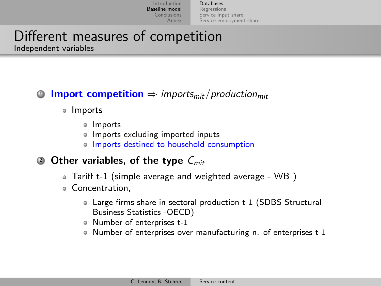[Databases](#page-7-0) [Regressions](#page-13-0) [Service input share](#page-14-0) [Service employment share](#page-20-0)

# Different measures of competition

Independent variables

### **1** Import competition  $\Rightarrow$  imports<sub>mit</sub>/production<sub>mit</sub>

- o Imports
	- o Imports
	- Imports excluding imported inputs
	- o Imports destined to household consumption
- **2 Other variables, of the type**  $C_{mit}$ 
	- Tariff t-1 (simple average and weighted average WB )
	- Concentration,
		- Large firms share in sectoral production t-1 (SDBS Structural Business Statistics -OECD)
		- Number of enterprises t-1
		- Number of enterprises over manufacturing n. of enterprises t-1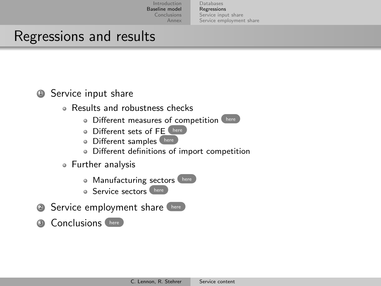[Databases](#page-7-0) [Regressions](#page-13-0) [Service input share](#page-14-0) [Service employment share](#page-20-0)

### Regressions and results

### <span id="page-13-1"></span>**1** Service input share

- Results and robustness checks
	- **O** Different measures of competition
	- Different sets of FE [here](#page-15-0)
	- **O** Different samples [here](#page-17-0)
	- Different definitions of import competition
- <span id="page-13-0"></span>Further analysis
	- **Manufacturing sectors** [here](#page-19-0)
	- **Service sectors** [here](#page-19-0)
- 2 Service employment share [here](#page-20-1)
- <sup>3</sup> Conclusions [here](#page-22-1)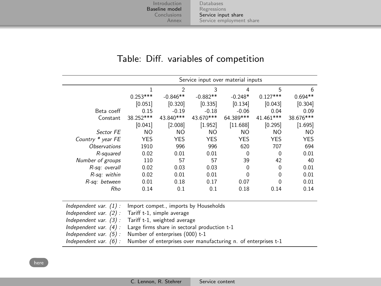<span id="page-14-0"></span>[Databases](#page-7-0) [Regressions](#page-13-0) [Service input share](#page-14-0) [Service employment share](#page-20-0)

#### Table: Diff. variables of competition

<span id="page-14-1"></span>

|                            |                                              | Service input over material inputs |                                                                |            |            |           |  |  |
|----------------------------|----------------------------------------------|------------------------------------|----------------------------------------------------------------|------------|------------|-----------|--|--|
|                            | 1                                            | $\mathfrak{p}$                     | 3                                                              | 4          | 5          | 6         |  |  |
|                            | $0.253***$                                   | $-0.846**$                         | $-0.882**$                                                     | $-0.248*$  | $0.127***$ | $0.694**$ |  |  |
|                            | [0.051]                                      | [0.320]                            | [0.335]                                                        | [0.134]    | [0.043]    | [0.304]   |  |  |
| Beta coeff                 | 0.15                                         | $-0.19$                            | $-0.18$                                                        | $-0.06$    | 0.04       | 0.09      |  |  |
| Constant                   | 38.252***                                    | 43.840***                          | 43.670***                                                      | 64.389***  | 41.461***  | 38.676*** |  |  |
|                            | [0.041]                                      | [2.008]                            | [1.952]                                                        | [11.688]   | [0.295]    | [1.695]   |  |  |
| Sector FE                  | NO.                                          | NO.                                | NO.                                                            | NO.        | NO.        | NO.       |  |  |
| Country * year FE          | <b>YES</b>                                   | YES                                | <b>YES</b>                                                     | <b>YES</b> | <b>YES</b> | YES       |  |  |
| <i><b>Observations</b></i> | 1910                                         | 996                                | 996                                                            | 620        | 707        | 694       |  |  |
| R-squared                  | 0.02                                         | 0.01                               | 0.01                                                           | $\Omega$   | $\Omega$   | 0.01      |  |  |
| Number of groups           | 110                                          | 57                                 | 57                                                             | 39         | 42         | 40        |  |  |
| R-sq: overall              | 0.02                                         | 0.03                               | 0.03                                                           | $\Omega$   | 0          | 0.01      |  |  |
| R-sq: within               | 0.02                                         | 0.01                               | 0.01                                                           | $\Omega$   | 0          | 0.01      |  |  |
| R-sq: between              | 0.01                                         | 0.18                               | 0.17                                                           | 0.07       | $\Omega$   | 0.01      |  |  |
| Rho                        | 0.14                                         | 0.1                                | 0.1                                                            | 0.18       | 0.14       | 0.14      |  |  |
|                            |                                              |                                    |                                                                |            |            |           |  |  |
| Independent var. $(1)$ :   |                                              |                                    | Import compet., imports by Households                          |            |            |           |  |  |
| Independent var. (2):      |                                              | Tariff t-1, simple average         |                                                                |            |            |           |  |  |
| Independent var. $(3)$ :   | Tariff t-1, weighted average                 |                                    |                                                                |            |            |           |  |  |
| Independent var. $(4)$ :   | Large firms share in sectoral production t-1 |                                    |                                                                |            |            |           |  |  |
| Independent var. $(5)$ :   |                                              | Number of enterprises (000) t-1    |                                                                |            |            |           |  |  |
| Independent var. $(6)$ :   |                                              |                                    | Number of enterprises over manufacturing n. of enterprises t-1 |            |            |           |  |  |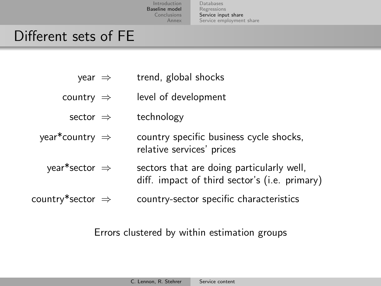[Databases](#page-7-0) [Regressions](#page-13-0) [Service input share](#page-14-0) [Service employment share](#page-20-0)

### Different sets of FE

- year ⇒ trend, global shocks
- <span id="page-15-0"></span>country ⇒ level of development
	- sector ⇒ technology
- year\*country ⇒ country specific business cycle shocks, relative services' prices
	- year\*sector  $\Rightarrow$  sectors that are doing particularly well, diff. impact of third sector's (i.e. primary)
- $\text{country*}$  sector  $\Rightarrow$  country-sector specific characteristics

#### Errors clustered by within estimation groups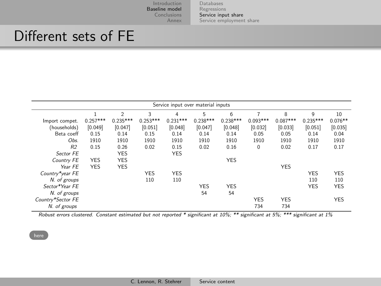[Databases](#page-7-0) [Regressions](#page-13-0) [Service input share](#page-14-0) [Service employment share](#page-20-0)

### Different sets of FE

| Service input over material inputs |            |                |            |            |            |            |             |            |            |            |
|------------------------------------|------------|----------------|------------|------------|------------|------------|-------------|------------|------------|------------|
|                                    |            | $\mathfrak{D}$ | 3          | 4          | 5          | 6          |             | 8          | 9          | 10         |
| Import compet.                     | $0.257***$ | $0.235***$     | $0.253***$ | $0.231***$ | $0.238***$ | $0.238***$ | $0.093***$  | $0.087***$ | $0.235***$ | $0.076**$  |
| (households)                       | [0.049]    | [0.047]        | [0.051]    | [0.048]    | [0.047]    | [0.048]    | [0.032]     | [0.033]    | [0.051]    | [0.035]    |
| Beta coeff                         | 0.15       | 0.14           | 0.15       | 0.14       | 0.14       | 0.14       | 0.05        | 0.05       | 0.14       | 0.04       |
| Obs.                               | 1910       | 1910           | 1910       | 1910       | 1910       | 1910       | 1910        | 1910       | 1910       | 1910       |
| R <sub>2</sub>                     | 0.15       | 0.26           | 0.02       | 0.15       | 0.02       | 0.16       | $\mathbf 0$ | 0.02       | 0.17       | 0.17       |
| Sector FE                          |            | <b>YES</b>     |            | <b>YES</b> |            |            |             |            |            |            |
| Country FE                         | <b>YES</b> | <b>YES</b>     |            |            |            | <b>YES</b> |             |            |            |            |
| Year FF                            | <b>YES</b> | <b>YES</b>     |            |            |            |            |             | <b>YES</b> |            |            |
| Country*year FE                    |            |                | <b>YES</b> | <b>YES</b> |            |            |             |            | <b>YES</b> | <b>YES</b> |
| N. of groups                       |            |                | 110        | 110        |            |            |             |            | 110        | 110        |
| Sector*Year FF                     |            |                |            |            | <b>YES</b> | <b>YES</b> |             |            | <b>YES</b> | <b>YES</b> |
| N. of groups                       |            |                |            |            | 54         | 54         |             |            |            |            |
| Country*Sector FE                  |            |                |            |            |            |            | <b>YES</b>  | <b>YES</b> |            | <b>YES</b> |
| N. of groups                       |            |                |            |            |            |            | 734         | 734        |            |            |

Robust errors clustered. Constant estimated but not reported \* significant at 10%; \*\* significant at 5%; \*\*\* significant at 1%

ä,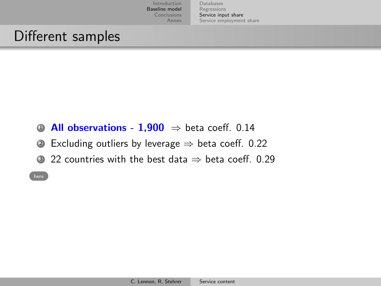[Databases](#page-7-0) [Regressions](#page-13-0) [Service input share](#page-14-0) [Service employment share](#page-20-0)

## Different samples

- <span id="page-17-0"></span>**4 All observations - 1.900**  $\Rightarrow$  beta coeff. 0.14
- 2 Excluding outliers by leverage  $\Rightarrow$  beta coeff. 0.22
- 3 22 countries with the best data  $\Rightarrow$  beta coeff. 0.29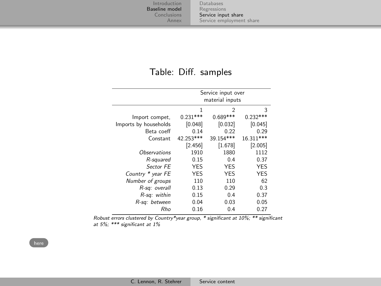[Databases](#page-7-0) [Regressions](#page-13-0) [Service input share](#page-14-0) [Service employment share](#page-20-0)

#### Table: Diff. samples

| Service input over<br>material inputs |            |            |  |  |  |
|---------------------------------------|------------|------------|--|--|--|
| 1                                     | 2          | 3          |  |  |  |
| $0.231***$                            | $0.689***$ | $0.232***$ |  |  |  |
| [0.048]                               | [0.032]    | [0.045]    |  |  |  |
| 0.14                                  | 0.22       | 0.29       |  |  |  |
| 42.253***                             | 39.154***  | 16.311***  |  |  |  |
| [2.456]                               | [1.678]    | [2.005]    |  |  |  |
| 1910                                  | 1880       | 1112       |  |  |  |
| 0.15                                  | 0.4        | 0.37       |  |  |  |
| <b>YES</b>                            | <b>YFS</b> | <b>YFS</b> |  |  |  |
|                                       | <b>YFS</b> | <b>YFS</b> |  |  |  |
| 110                                   | 110        | 62         |  |  |  |
| 0.13                                  | 0.29       | 0.3        |  |  |  |
| 0.15                                  | 0.4        | 0.37       |  |  |  |
| 0.04                                  | 0.03       | 0.05       |  |  |  |
| 0.16                                  | 0.4        | 0.27       |  |  |  |
|                                       | <b>YES</b> |            |  |  |  |

Robust errors clustered by Country\*year group, \* significant at 10%; \*\* significant at 5%; \*\*\* significant at 1%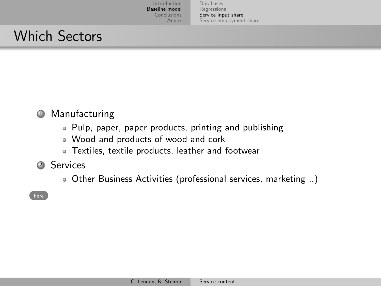[Databases](#page-7-0) [Regressions](#page-13-0) [Service input share](#page-14-0) [Service employment share](#page-20-0)

## Which Sectors

### <span id="page-19-0"></span><sup>1</sup> Manufacturing

- Pulp, paper, paper products, printing and publishing
- Wood and products of wood and cork
- Textiles, textile products, leather and footwear
- <sup>2</sup> Services
	- Other Business Activities (professional services, marketing ..)

[here](#page-13-1)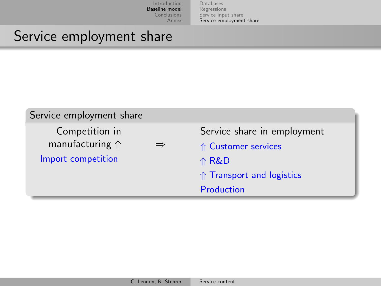<span id="page-20-0"></span>[Databases](#page-7-0) [Regressions](#page-13-0) [Service input share](#page-14-0) [Service employment share](#page-20-0)

### Service employment share

<span id="page-20-1"></span>

| Service employment share                                         |               |                                                                                                   |
|------------------------------------------------------------------|---------------|---------------------------------------------------------------------------------------------------|
| Competition in<br>manufacturing $\Uparrow$<br>Import competition | $\Rightarrow$ | Service share in employment<br>↑ Customer services<br>介 R&D<br>$\Uparrow$ Transport and logistics |
|                                                                  |               | Production                                                                                        |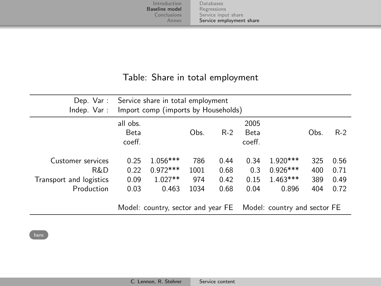[Databases](#page-7-0) [Regressions](#page-13-0) [Service input share](#page-14-0) [Service employment share](#page-20-0)

#### Table: Share in total employment

| Dep. Var :<br>Indep. Var:                                         |                              | Service share in total employment<br>Import comp (imports by Households) |                            |                              |                               |                                                                 |                          |                              |
|-------------------------------------------------------------------|------------------------------|--------------------------------------------------------------------------|----------------------------|------------------------------|-------------------------------|-----------------------------------------------------------------|--------------------------|------------------------------|
|                                                                   | all obs.<br>Beta<br>coeff.   |                                                                          | Obs.                       | $R-2$                        | 2005<br><b>Beta</b><br>coeff. |                                                                 | Obs.                     | $R-2$                        |
| Customer services<br>R&D<br>Transport and logistics<br>Production | 0.25<br>0.22<br>0.09<br>0.03 | $1.056***$<br>$0.972***$<br>$1.027**$<br>0.463                           | 786<br>1001<br>974<br>1034 | 0.44<br>0.68<br>0.42<br>0.68 | 0.34<br>0.3<br>0.15<br>0.04   | $1.920***$<br>$0.926***$<br>$1.463***$<br>0.896                 | 325<br>400<br>389<br>404 | 0.56<br>0.71<br>0.49<br>0.72 |
|                                                                   |                              |                                                                          |                            |                              |                               | Model: country, sector and year FE Model: country and sector FE |                          |                              |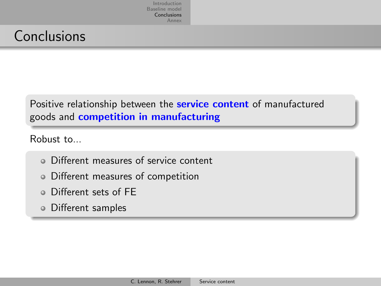## **Conclusions**

### <span id="page-22-1"></span>Positive relationship between the **service content** of manufactured goods and competition in manufacturing

Robust to...

- Different measures of service content
- Different measures of competition
- Different sets of FE
- <span id="page-22-0"></span>Different samples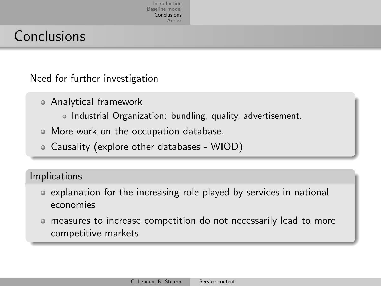### **Conclusions**

Need for further investigation

- Analytical framework
	- o Industrial Organization: bundling, quality, advertisement.
- More work on the occupation database.
- Causality (explore other databases WIOD)

#### Implications

- explanation for the increasing role played by services in national economies
- measures to increase competition do not necessarily lead to more competitive markets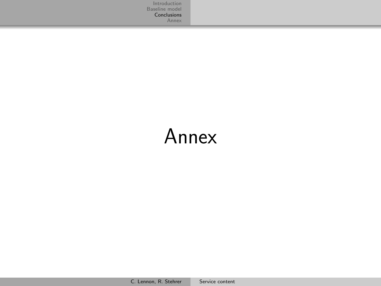# <span id="page-24-0"></span>Annex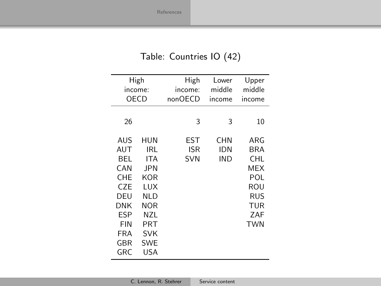### <span id="page-25-0"></span>Table: Countries IO (42)

| High<br>income:<br>OECD |            | High<br>income: | Lower<br>middle | Upper<br>middle |
|-------------------------|------------|-----------------|-----------------|-----------------|
|                         |            | nonOECD         | income          | income          |
| 26                      |            | 3               | 3               | 10              |
| AUS                     | HUN        | EST             | CHN             | ARG             |
| AUT                     | IRL        | ISR             | IDN             | BRA             |
| BEL                     | ITA        | <b>SVN</b>      | IND             | CHL             |
| CAN                     | JPN.       |                 |                 | MEX             |
| CHE                     | KOR        |                 |                 | POL             |
| <b>CZE</b>              | LUX        |                 |                 | ROU             |
| DEU                     | NLD        |                 |                 | RUS             |
| DNK                     | <b>NOR</b> |                 |                 | TUR             |
| ESP                     | NZL        |                 |                 | ZAF             |
| FIN                     | PRT        |                 |                 | <b>TWN</b>      |
| FRA                     | SVK        |                 |                 |                 |
| GBR                     | <b>SWE</b> |                 |                 |                 |
| GRC.                    | USA        |                 |                 |                 |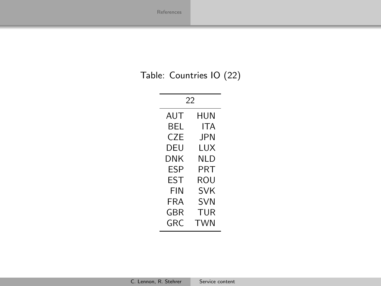### Table: Countries IO (22)

| 22         |            |  |  |  |  |
|------------|------------|--|--|--|--|
| AUT        | HUN        |  |  |  |  |
| BEL        | ITA        |  |  |  |  |
| CZE        | <b>JPN</b> |  |  |  |  |
| DEU        | LUX        |  |  |  |  |
| DNK        | NI D       |  |  |  |  |
| FSP        | PRT        |  |  |  |  |
| <b>FST</b> | ROU        |  |  |  |  |
| FIN        | SVK        |  |  |  |  |
| FRA        | <b>SVN</b> |  |  |  |  |
| GBR        | TUR        |  |  |  |  |
| GRC        | TWN        |  |  |  |  |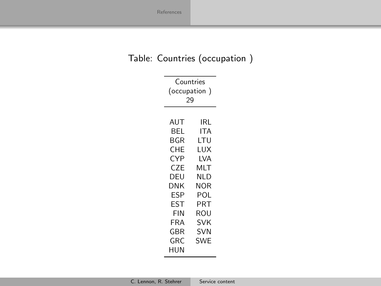### Table: Countries (occupation )

| Countries<br>(occupation)<br>29                                                                        |                                                                                                                            |  |
|--------------------------------------------------------------------------------------------------------|----------------------------------------------------------------------------------------------------------------------------|--|
| AUT<br>BEL<br>BGR<br>CHE<br>CYP<br>CZE<br>DEU<br>DNK<br>ESP<br>EST<br>FIN<br>FRA<br>GBR<br>GRC.<br>HUN | IRL<br>ITA<br>LTU<br>LUX<br>LVA<br>MLT<br>NLD<br>NOR<br>POL<br><b>PRT</b><br>ROU<br><b>SVK</b><br><b>SVN</b><br><b>SWE</b> |  |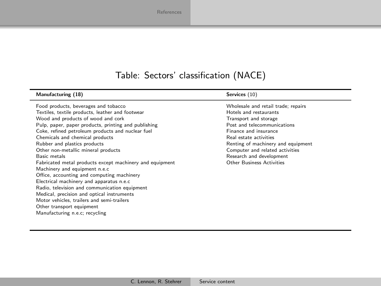### Table: Sectors' classification (NACE)

| Manufacturing (18)                                       | Services (10)                       |
|----------------------------------------------------------|-------------------------------------|
| Food products, beverages and tobacco                     | Wholesale and retail trade; repairs |
| Textiles, textile products, leather and footwear         | Hotels and restaurants              |
| Wood and products of wood and cork                       | Transport and storage               |
| Pulp, paper, paper products, printing and publishing     | Post and telecommunications         |
| Coke, refined petroleum products and nuclear fuel        | Finance and insurance               |
| Chemicals and chemical products                          | Real estate activities              |
| Rubber and plastics products                             | Renting of machinery and equipment  |
| Other non-metallic mineral products                      | Computer and related activities     |
| <b>Basic metals</b>                                      | Research and development            |
| Fabricated metal products except machinery and equipment | <b>Other Business Activities</b>    |
| Machinery and equipment n.e.c                            |                                     |
| Office, accounting and computing machinery               |                                     |
| Electrical machinery and apparatus n.e.c                 |                                     |
| Radio, television and communication equipment            |                                     |
| Medical, precision and optical instruments               |                                     |
| Motor vehicles, trailers and semi-trailers               |                                     |
| Other transport equipment                                |                                     |
| Manufacturing n.e.c; recycling                           |                                     |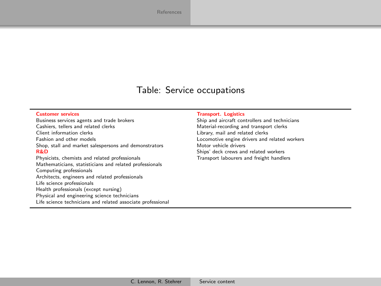#### Table: Service occupations

Customer services<br>
Business services agents and trade brokers<br>
Ship and aircraft con Business services agents and trade brokers Ship and aircraft controllers and technicians<br>Ship and tellers and related clerks Shapes Shapes Material-recording and transport clerks Cashiers, tellers and related clerks and the content of the Material-recording and transport clerks Client information clerks Client information clerks<br>
Fashion and other models<br>
Locomotive engine drivers and Shop, stall and market salespersons and demonstrators  $R\&D$ Physicists, chemists and related professionals Transport labourers and freight handlers Mathematicians, statisticians and related professionals Computing professionals Architects, engineers and related professionals Life science professionals Health professionals (except nursing) Physical and engineering science technicians Life science technicians and related associate professional

Locomotive engine drivers and related workers<br>Motor vehicle drivers Ships' deck crews and related workers